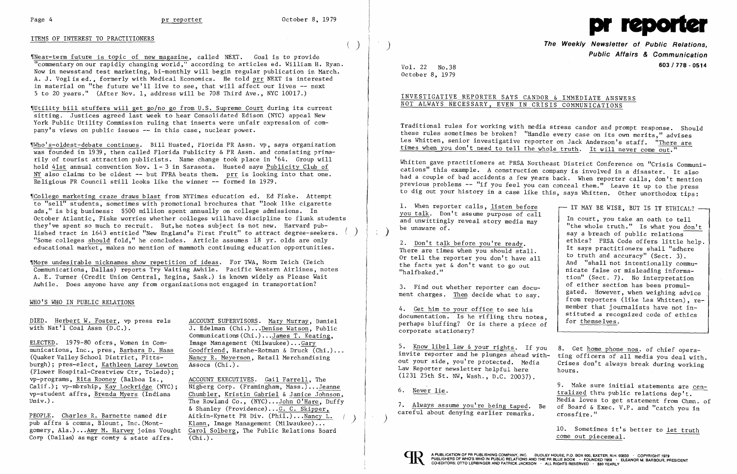## ITEMS OF INTEREST TO PRACTITIONERS

'[Near-term future is topic of new magazine, called NEXT. Goal is to provide "commentary on our rapidly changing world," according to articles ed. William H. Ryan. Now in newsstand test marketing, bi-monthly will begin regular publication in March. A. J. Voglised.. formerly with Medical Economics. He told prr NEXT is interested in material on "the future we'll live to see, that will affect our lives -- next 5 to 20 years." (After Nov. 1, address will be 708 Third Ave., NYC 10017.)

,rUtility bill stuffers will get go/no go from U.S. Supreme Court during its current sitting. Justices agreed last week to hear Consolidated Edison (NYC) appeal New York Public Utility Commission ruling that inserts were unfair expression of company's views on public issues -- in this case, nuclear power.

 $C$ College marketing craze draws blast from NYTimes education ed. Ed Fiske. Attempt to "sell" students, sometimes with promotional brochures that "look like cigarette ads," is big business: \$500 million spent annually on college admissions. In October Atlantic, Fiske worries whether colleges will have discipline to flunk students they've spent so much to recruit. But,he notes subject is not new. Harvard published tract in 1643 entitled "New England's First Fruit" to attract degree-seekers. "Some colleges should fold." he concludes. Article assumes 18 yr. olds are only educational market, makes no mention of mammoth continuing education opportunities.

'IWho I s-oldest-debate continues. Bill Husted, Florida PR Assn. vp, says organization was founded in 1939, then called Florida Publicity & PR Assn. and consisting primarily of tourist attraction publicists. Name change took place in '64. Group will hold 41st annual convention Nov. 1- 3 in Sarasota. Husted says Publicity Club of  $NY$  also claims to be oldest  $--$  but FPRA beats them. prr is looking into that one. Religious PR Council still looks like the winner -- formed in 1929.

> ACCOUNT EXECUTIVES. Gail Farrell, The Nigberg Corp. (Framingham, Mass.) ...Jeanne Chumbler, Kristin Gabriel & Janice Johnson, The Rowland Co., (NYC)...John O'Hare, Duffy & Shanley (Providence)... $G. C.$  Skipper, Aitkin-Kynett PR Div. (Phil.)... Nancy L.<br>Klann, Image Management (Milwaukee)... Carol Solberg, The Public Relations Board  $(\overline{\text{Chi.}})$ .

 $\sim$   $\sim$ 

 $( )$ 

Traditional rules for working with media stress candor and prompt response. Should these rules sometimes be broken? "Handle every case on its own merits," advises Les Whitten, senior investigative reporter on Jack Anderson's staff. "There are times when you don't need to tell the whole truth. It will never come out."

'fMore undesirable nicknames show repetition of ideas. For TWA, Norm Teich (Teich Communications, Dallas) reports Try Waiting Awhile. Pacific Western Airlines, notes A. E. Turner (Credit Union Central, Regina, Sask.) is known widely as Please Wait Awhile. Does anyone have any from organizations not engaged in transportation?

1. When reporter calls, listen before you talk. Don't assume purpose of call and unwittingly reveal story media may be unaware  $\sigma$ .

### WHO'S WHO IN PUBLIC RELATIONS

DIED. Herbert W. Foster, vp press rels with Nat'l Coal Assn (D.C.).

ELECTED. 1979-80 ofcrs, Women in Communications, Inc., pres, Barbara D. Haas (Quaker Valley School District, Pittsburgh); pres-elect, Kathleen Larey Lewton (Flower Hospital-Crestview Ctr, Toledo); vp-programs, Rita Rooney (Balboa Is., Calif.); vp-mbrship, Kay Lockridge (NYC); vp-student affrs, Brenda Myers (Indiana Univ.) .

7. Always assume you're being taped. Be careful about denying earlier remarks.

PEOPLE. Charles R. Barnette named dir pub affrs & comms, Blount, Inc. (Montgomery, Ala.) ...Amy M. Harvey joins Vought Corp (Dallas) as mgr comty & state affrs.

- IT MAY BE WISE, BUT IS IT ETHICAL? -In court, you take an oath to tell "the whole truth." Is what you don't say a breach of public relations $\overline{-}$ ethics? PRSA Code offers little help. It says practitioners shall "adhere to truth and accuracy" (Sect. 3). And "shall not intentionally communicate false or misleading information" (Sect. 7). No interpretation of either section has been promulgated. However, when weighing advice from reporters (like Les Whitten), remember that journalists have not instituted a recognized code of ethics for themselves.

ACCOUNT SUPERVISORS. Mary Murray, Daniel J. Edelman (Chi.) ...Denise Watson, Public Communications(Chi.) ...James T. Keating, Image Management (Milwaukee) ... Gary Goodfriend, Harshe-Rotman & Druck (Chi.) ... Nancy R. Meyerson, Retail Merchandising Assocs (Chi.).



) **The Weekly Newsletter 01. Public Relations, Public Affairs & Communication**  Vol. **603/778 - <sup>0514</sup>** 22 No.38

October 8, 1979

## INVESTIGATIVE REPORTER SAYS CANDOR & IMMEDIATE ANSWERS NOT ALWAYS NECESSARY, EVEN IN CRISIS COMMUNICATIONS

Whitten gave practitioners at PRSA Northeast District Conference on "Crisis Communications" this example. A construction company is involved in a disaster. It also had a couple of bad accidents a few years back. When reporter calls, don't mention previous problems -- "if you feel you can conceal them." Leave it up to the press to dig out your history in a case like this, says Whitten. Other unorthodox tips:

2. Don't talk before you're ready. There are times when you should stall. Or tell the reporter you don't have all the facts yet & don't want to go out "halfbaked. "

3. Find out whether reporter can document charges. Then decide what to say.

4. Get him to your office to see his documentation. Is he rifling thru notes, perhaps bluffing? Or is there a piece of corporate stationery?

6. Never lie.

5. Know libel law &your rights. If you invite reporter and he plunges ahead without your side, you're protected. Media Law Reporter newsletter helpful here (1231 25th St. NW, Wash., D.C. 20037). 8. Get home phone nos. of chief operating officers of all media you deal with. Crises don't always break during working hours.

> 9. Make sure initial statements are centralized thru public relations dep't. Media loves to get statement from Chmn. of of Board &Exec. V.P. and "catch you in crossfire."

10. Sometimes it's better to let truth come out piecemeal.